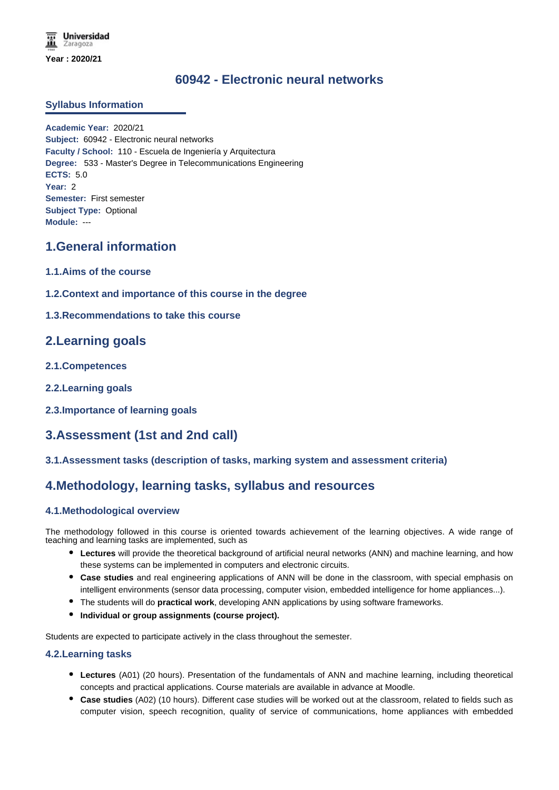**Universidad** Zaragoza **Year : 2020/21**

# **60942 - Electronic neural networks**

## **Syllabus Information**

**Academic Year:** 2020/21 **Subject:** 60942 - Electronic neural networks **Faculty / School:** 110 - Escuela de Ingeniería y Arquitectura **Degree:** 533 - Master's Degree in Telecommunications Engineering **ECTS:** 5.0 **Year:** 2 **Semester:** First semester **Subject Type:** Optional **Module:** ---

## **1.General information**

- **1.1.Aims of the course**
- **1.2.Context and importance of this course in the degree**
- **1.3.Recommendations to take this course**

## **2.Learning goals**

- **2.1.Competences**
- **2.2.Learning goals**
- **2.3.Importance of learning goals**

# **3.Assessment (1st and 2nd call)**

## **3.1.Assessment tasks (description of tasks, marking system and assessment criteria)**

## **4.Methodology, learning tasks, syllabus and resources**

## **4.1.Methodological overview**

The methodology followed in this course is oriented towards achievement of the learning objectives. A wide range of teaching and learning tasks are implemented, such as

- **Lectures** will provide the theoretical background of artificial neural networks (ANN) and machine learning, and how these systems can be implemented in computers and electronic circuits.
- **Case studies** and real engineering applications of ANN will be done in the classroom, with special emphasis on intelligent environments (sensor data processing, computer vision, embedded intelligence for home appliances...).
- The students will do **practical work**, developing ANN applications by using software frameworks.
- **Individual or group assignments (course project).**

Students are expected to participate actively in the class throughout the semester.

## **4.2.Learning tasks**

- **Lectures** (A01) (20 hours). Presentation of the fundamentals of ANN and machine learning, including theoretical concepts and practical applications. Course materials are available in advance at Moodle.
- **Case studies** (A02) (10 hours). Different case studies will be worked out at the classroom, related to fields such as computer vision, speech recognition, quality of service of communications, home appliances with embedded